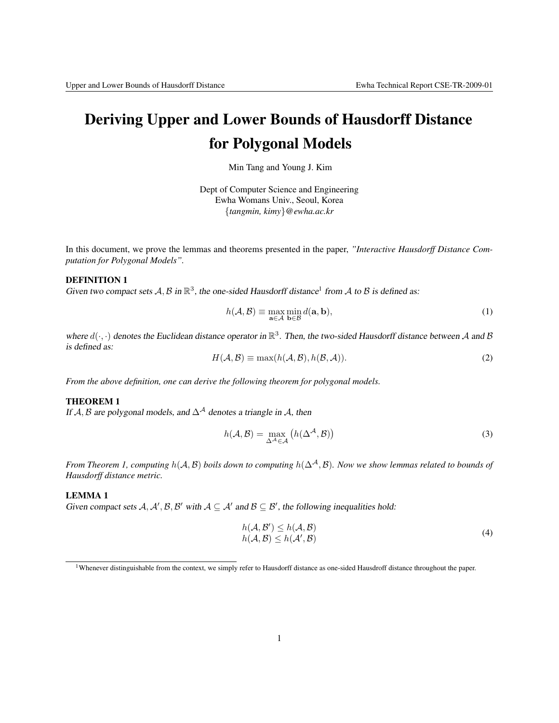# Deriving Upper and Lower Bounds of Hausdorff Distance for Polygonal Models

Min Tang and Young J. Kim

Dept of Computer Science and Engineering Ewha Womans Univ., Seoul, Korea {*tangmin, kimy*}*@ewha.ac.kr*

In this document, we prove the lemmas and theorems presented in the paper, *"Interactive Hausdorff Distance Computation for Polygonal Models".*

## DEFINITION 1

Given two compact sets A, B in  $\mathbb{R}^3$ , the one-sided Hausdorff distance<sup>1</sup> from A to B is defined as:

$$
h(\mathcal{A}, \mathcal{B}) \equiv \max_{\mathbf{a} \in \mathcal{A}} \min_{\mathbf{b} \in \mathcal{B}} d(\mathbf{a}, \mathbf{b}),
$$
 (1)

where  $d(\cdot, \cdot)$  denotes the Euclidean distance operator in  $\mathbb{R}^3$ . Then, the two-sided Hausdorff distance between A and B is defined as:

$$
H(\mathcal{A}, \mathcal{B}) \equiv \max(h(\mathcal{A}, \mathcal{B}), h(\mathcal{B}, \mathcal{A})).
$$
\n(2)

*From the above definition, one can derive the following theorem for polygonal models.*

# THEOREM 1

If A, B are polygonal models, and  $\Delta^{\mathcal{A}}$  denotes a triangle in A, then

$$
h(\mathcal{A}, \mathcal{B}) = \max_{\Delta^{\mathcal{A}} \in \mathcal{A}} \left( h(\Delta^{\mathcal{A}}, \mathcal{B}) \right)
$$
 (3)

*From Theorem 1, computing*  $h(A, B)$  *boils down to computing*  $h(∆<sup>A</sup>, B)$ *. Now we show lemmas related to bounds of Hausdorff distance metric.*

## LEMMA 1

Given compact sets  $A, A', B, B'$  with  $A \subseteq A'$  and  $B \subseteq B'$ , the following inequalities hold:

$$
h(\mathcal{A}, \mathcal{B}') \le h(\mathcal{A}, \mathcal{B})
$$
  
\n
$$
h(\mathcal{A}, \mathcal{B}) \le h(\mathcal{A}', \mathcal{B})
$$
\n(4)

<sup>&</sup>lt;sup>1</sup>Whenever distinguishable from the context, we simply refer to Hausdorff distance as one-sided Hausdroff distance throughout the paper.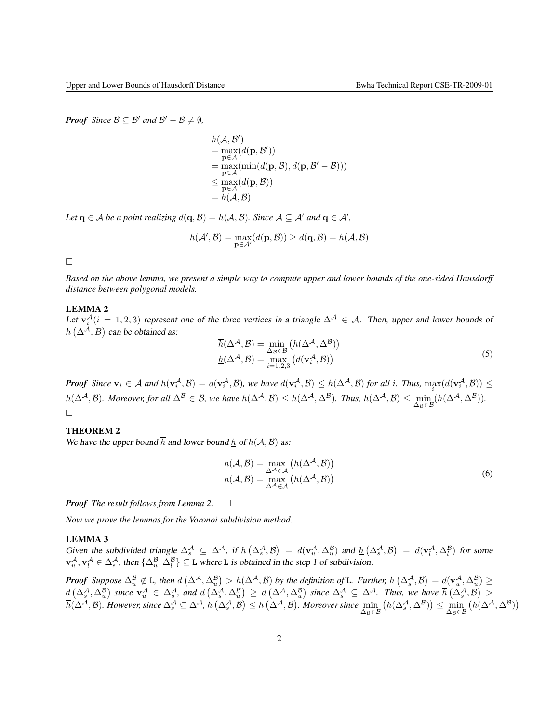*Proof Since*  $B \subseteq B'$  *and*  $B' - B \neq \emptyset$ *,* 

$$
h(\mathcal{A}, \mathcal{B}') = \max_{\mathbf{p} \in \mathcal{A}} (d(\mathbf{p}, \mathcal{B}'))
$$
  
= 
$$
\max_{\mathbf{p} \in \mathcal{A}} (\min(d(\mathbf{p}, \mathcal{B}), d(\mathbf{p}, \mathcal{B}' - \mathcal{B})))
$$
  

$$
\leq \max_{\mathbf{p} \in \mathcal{A}} (d(\mathbf{p}, \mathcal{B}))
$$
  
= 
$$
h(\mathcal{A}, \mathcal{B})
$$

*Let*  $\mathbf{q} \in \mathcal{A}$  *be a point realizing*  $d(\mathbf{q}, \mathcal{B}) = h(\mathcal{A}, \mathcal{B})$ *. Since*  $\mathcal{A} \subseteq \mathcal{A}'$  *and*  $\mathbf{q} \in \mathcal{A}'$ *,* 

$$
h(\mathcal{A}',\mathcal{B})=\max_{\mathbf{p}\in\mathcal{A}'}(d(\mathbf{p},\mathcal{B}))\geq d(\mathbf{q},\mathcal{B})=h(\mathcal{A},\mathcal{B})
$$

 $\Box$ 

*Based on the above lemma, we present a simple way to compute upper and lower bounds of the one-sided Hausdorff distance between polygonal models.*

### LEMMA 2

Let  $\mathbf{v}_i^{\mathcal{A}}(i=1,2,3)$  represent one of the three vertices in a triangle  $\Delta^{\mathcal{A}} \in \mathcal{A}$ . Then, upper and lower bounds of  $h\left(\Delta^{A},B\right)$  can be obtained as:

$$
\overline{h}(\Delta^{\mathcal{A}}, \mathcal{B}) = \min_{\Delta \mathcal{B} \in \mathcal{B}} \left( h(\Delta^{\mathcal{A}}, \Delta^{\mathcal{B}}) \right)
$$
\n
$$
\underline{h}(\Delta^{\mathcal{A}}, \mathcal{B}) = \max_{i=1,2,3} \left( d(\mathbf{v}_i^{\mathcal{A}}, \mathcal{B}) \right)
$$
\n(5)

*Proof* Since  $\mathbf{v}_i \in A$  and  $h(\mathbf{v}_i^{\mathcal{A}}, \mathcal{B}) = d(\mathbf{v}_i^{\mathcal{A}}, \mathcal{B})$ , we have  $d(\mathbf{v}_i^{\mathcal{A}}, \mathcal{B}) \leq h(\Delta^{\mathcal{A}}, \mathcal{B})$  for all i. Thus,  $\max(d(\mathbf{v}_i^{\mathcal{A}}, \mathcal{B})) \leq$  $h(\Delta^{\mathcal{A}}, \mathcal{B})$ *. Moreover, for all*  $\Delta^{\mathcal{B}} \in \mathcal{B}$ *, we have*  $h(\Delta^{\mathcal{A}}, \mathcal{B}) \leq h(\Delta^{\mathcal{A}}, \Delta^{\mathcal{B}})$ *. Thus,*  $h(\Delta^{\mathcal{A}}, \mathcal{B}) \leq \min_{\Delta_{\mathcal{B}} \in \mathcal{B}} (h(\Delta^{\mathcal{A}}, \Delta^{\mathcal{B}}))$ *.*  $\Box$ 

## THEOREM 2

We have the upper bound  $\overline{h}$  and lower bound  $\underline{h}$  of  $h(A, B)$  as:

$$
\overline{h}(\mathcal{A}, \mathcal{B}) = \max_{\Delta^{\mathcal{A}} \in \mathcal{A}} \left( \overline{h}(\Delta^{\mathcal{A}}, \mathcal{B}) \right)
$$
\n
$$
\underline{h}(\mathcal{A}, \mathcal{B}) = \max_{\Delta^{\mathcal{A}} \in \mathcal{A}} \left( \underline{h}(\Delta^{\mathcal{A}}, \mathcal{B}) \right)
$$
\n(6)

*Proof The result follows from Lemma 2.*

*Now we prove the lemmas for the Voronoi subdivision method.*

#### LEMMA 3

Given the subdivided triangle  $\Delta_s^{\mathcal{A}} \subseteq \Delta^{\mathcal{A}}$ , if  $\overline{h}(\Delta_s^{\mathcal{A}}, \mathcal{B}) = d(\mathbf{v}_u^{\mathcal{A}}, \Delta_u^{\mathcal{B}})$  and  $\underline{h}(\Delta_s^{\mathcal{A}}, \mathcal{B}) = d(\mathbf{v}_l^{\mathcal{A}}, \Delta_l^{\mathcal{B}})$  for some  $\mathbf{v}_u^{\mathcal{A}}, \mathbf{v}_l^{\mathcal{A}} \in \Delta_s^{\mathcal{A}}$ , then  $\{\Delta_u^{\mathcal{B}}, \Delta_l^{\mathcal{B}}\} \subseteq L$  where L is obtained in the step 1 of subdivision.

**Proof** Suppose  $\Delta_u^{\mathcal{B}} \notin L$ , then  $d\left(\Delta^{\mathcal{A}}, \Delta_u^{\mathcal{B}}\right) > \overline{h}(\Delta^{\mathcal{A}}, \mathcal{B})$  by the definition of L. Further,  $\overline{h}\left(\Delta_s^{\mathcal{A}}, \mathcal{B}\right) = d(\mathbf{v}_u^{\mathcal{A}}, \Delta_u^{\mathcal{B}}) \geq$  $d\left(\Delta_s^{\mathcal{A}},\Delta_u^{\mathcal{B}}\right)$  since  $\mathbf{v}_u^{\mathcal{A}} \in \Delta_s^{\mathcal{A}}$ , and  $d\left(\Delta_s^{\mathcal{A}},\Delta_u^{\mathcal{B}}\right) \geq d\left(\Delta^{\mathcal{A}},\Delta_u^{\mathcal{B}}\right)$  since  $\Delta_s^{\mathcal{A}} \subseteq \Delta^{\mathcal{A}}$ . Thus, we have  $\overline{h}\left(\Delta_s^{\mathcal{A}},\mathcal{B}\right) >$  $\overline{h}(\Delta^\mathcal{A}, \mathcal{B})$ . However, since  $\Delta_s^\mathcal{A} \subseteq \Delta^\mathcal{A}$ ,  $h\left(\Delta_s^\mathcal{A}, \mathcal{B}\right) \leq h\left(\Delta^\mathcal{A}, \mathcal{B}\right)$ . Moreover since  $\min_{\Delta_\mathcal{B} \in \mathcal{B}}\left(h(\Delta_s^\mathcal{A}, \Delta^\mathcal{B})\right) \leq \min_{\Delta_\mathcal{B} \in \mathcal{B}}\left(h(\Delta^\mathcal{A}, \Delta^\mathcal{B})\right)$